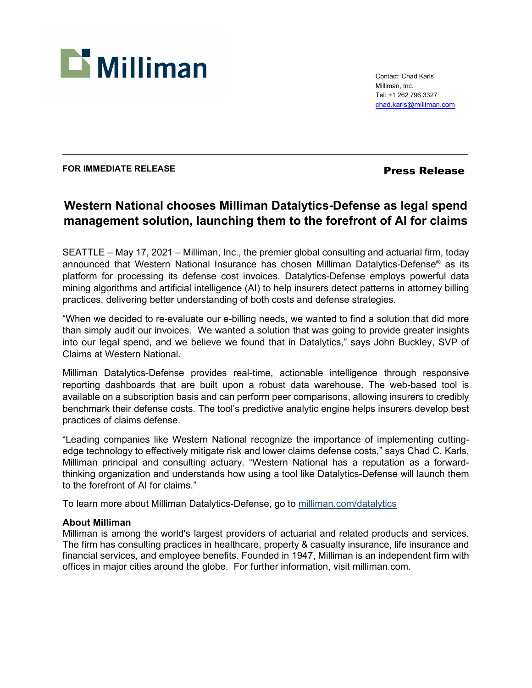

Contact: Chad Karls Milliman, Inc. Tel: +1 262 796 3327 [chad.karls@milliman.com](mailto:chad.karls@milliman.com)

## **FOR IMMEDIATE RELEASE Press Release**

# **Western National chooses Milliman Datalytics-Defense as legal spend management solution, launching them to the forefront of AI for claims**

SEATTLE – May 17, 2021 – Milliman, Inc., the premier global consulting and actuarial firm, today announced that Western National Insurance has chosen Milliman Datalytics-Defense® as its platform for processing its defense cost invoices. Datalytics-Defense employs powerful data mining algorithms and artificial intelligence (AI) to help insurers detect patterns in attorney billing practices, delivering better understanding of both costs and defense strategies.

"When we decided to re-evaluate our e-billing needs, we wanted to find a solution that did more than simply audit our invoices. We wanted a solution that was going to provide greater insights into our legal spend, and we believe we found that in Datalytics," says John Buckley, SVP of Claims at Western National.

Milliman Datalytics-Defense provides real-time, actionable intelligence through responsive reporting dashboards that are built upon a robust data warehouse. The web-based tool is available on a subscription basis and can perform peer comparisons, allowing insurers to credibly benchmark their defense costs. The tool's predictive analytic engine helps insurers develop best practices of claims defense.

"Leading companies like Western National recognize the importance of implementing cuttingedge technology to effectively mitigate risk and lower claims defense costs," says Chad C. Karls, Milliman principal and consulting actuary. "Western National has a reputation as a forwardthinking organization and understands how using a tool like Datalytics-Defense will launch them to the forefront of AI for claims."

To learn more about Milliman Datalytics-Defense, go to [milliman.com/datalytics](https://www.milliman.com/datalytics)

## **About Milliman**

Milliman is among the world's largest providers of actuarial and related products and services. The firm has consulting practices in healthcare, property & casualty insurance, life insurance and financial services, and employee benefits. Founded in 1947, Milliman is an independent firm with offices in major cities around the globe. For further information, visit milliman.com.